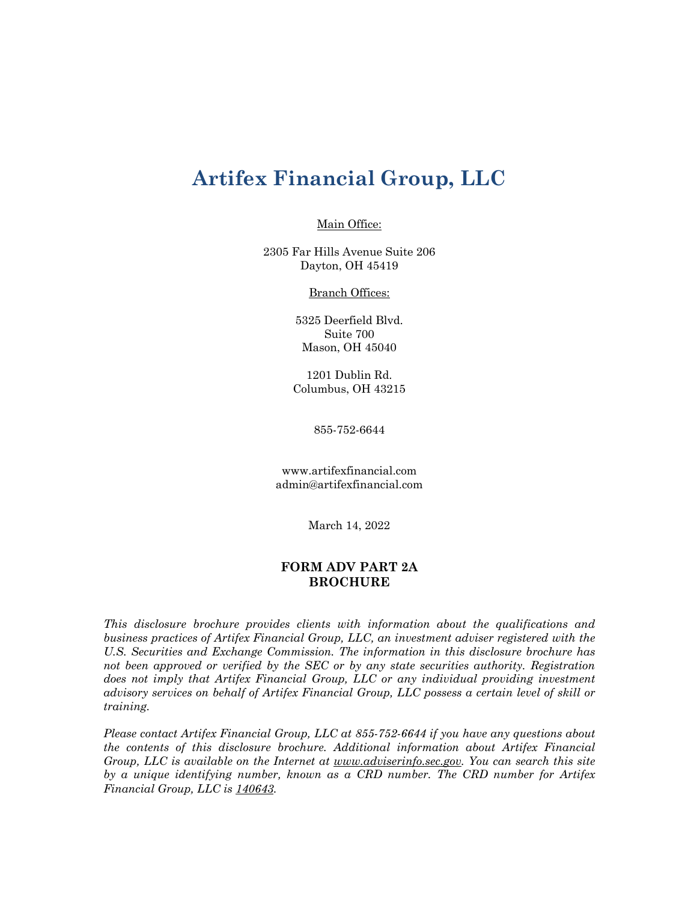# **Artifex Financial Group, LLC**

Main Office:

2305 Far Hills Avenue Suite 206 Dayton, OH 45419

**Branch Offices:** 

5325 Deerfield Blvd. Suite 700 Mason, OH 45040

1201 Dublin Rd. Columbus, OH 43215

855-752-6644

www.artifexfinancial.com admin@artifexfinancial.com

March 14, 2022

# **FORM ADV PART 2A BROCHURE**

*This disclosure brochure provides clients with information about the qualifications and business practices of Artifex Financial Group, LLC, an investment adviser registered with the U.S. Securities and Exchange Commission. The information in this disclosure brochure has not been approved or verified by the SEC or by any state securities authority. Registration*  does not imply that Artifex Financial Group, LLC or any individual providing investment *advisory services on behalf of Artifex Financial Group, LLC possess a certain level of skill or training.* 

*Please contact Artifex Financial Group, LLC at 855-752-6644 if you have any questions about the contents of this disclosure brochure. Additional information about Artifex Financial Group, LLC is available on the Internet at www.adviserinfo.sec.gov. You can search this site by a unique identifying number, known as a CRD number. The CRD number for Artifex Financial Group, LLC is 140643.*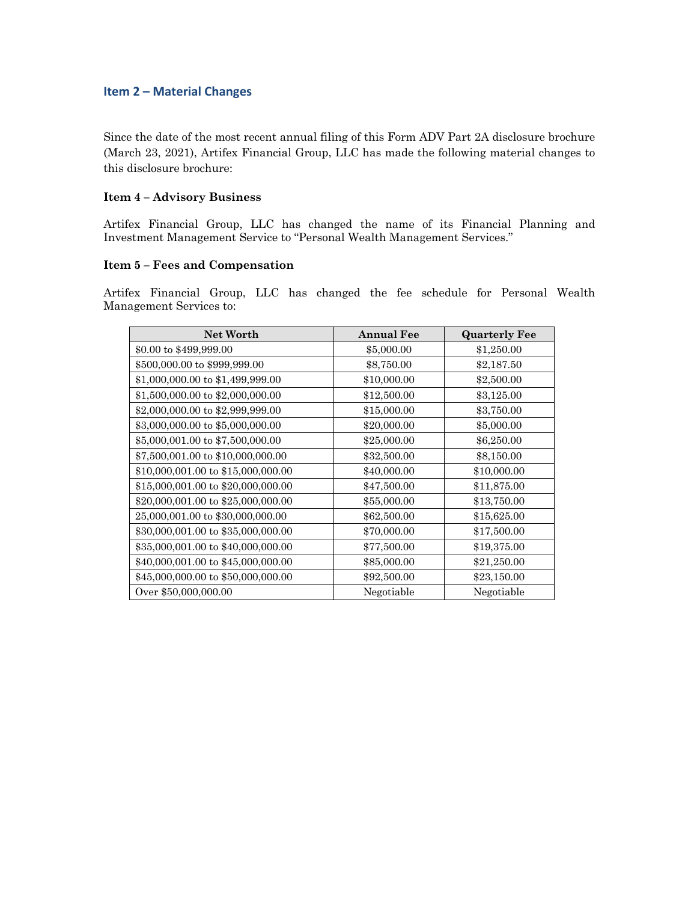# **Item 2 – Material Changes**

Since the date of the most recent annual filing of this Form ADV Part 2A disclosure brochure (March 23, 2021), Artifex Financial Group, LLC has made the following material changes to this disclosure brochure:

#### **Item 4 – Advisory Business**

Artifex Financial Group, LLC has changed the name of its Financial Planning and Investment Management Service to "Personal Wealth Management Services."

## **Item 5 – Fees and Compensation**

Artifex Financial Group, LLC has changed the fee schedule for Personal Wealth Management Services to:

| <b>Net Worth</b>                   | <b>Annual Fee</b> | <b>Quarterly Fee</b> |
|------------------------------------|-------------------|----------------------|
| \$0.00 to \$499,999.00             | \$5,000.00        | \$1,250.00           |
| \$500,000.00 to \$999,999.00       | \$8,750.00        | \$2,187.50           |
| \$1,000,000.00 to \$1,499,999.00   | \$10,000.00       | \$2,500.00           |
| \$1,500,000.00 to \$2,000,000.00   | \$12,500.00       | \$3,125.00           |
| \$2,000,000.00 to \$2,999,999.00   | \$15,000.00       | \$3,750.00           |
| \$3,000,000.00 to \$5,000,000.00   | \$20,000.00       | \$5,000.00           |
| \$5,000,001.00 to \$7,500,000.00   | \$25,000.00       | \$6,250.00           |
| \$7,500,001.00 to \$10,000,000.00  | \$32,500.00       | \$8,150.00           |
| \$10,000,001.00 to \$15,000,000.00 | \$40,000.00       | \$10,000.00          |
| \$15,000,001.00 to \$20,000,000.00 | \$47,500.00       | \$11,875.00          |
| \$20,000,001.00 to \$25,000,000.00 | \$55,000.00       | \$13,750.00          |
| 25,000,001.00 to \$30,000,000.00   | \$62,500.00       | \$15,625.00          |
| \$30,000,001.00 to \$35,000,000.00 | \$70,000.00       | \$17,500.00          |
| \$35,000,001.00 to \$40,000,000.00 | \$77,500.00       | \$19,375.00          |
| \$40,000,001.00 to \$45,000,000.00 | \$85,000.00       | \$21,250.00          |
| \$45,000,000.00 to \$50,000,000.00 | \$92,500.00       | \$23,150.00          |
| Over \$50,000,000.00               | Negotiable        | Negotiable           |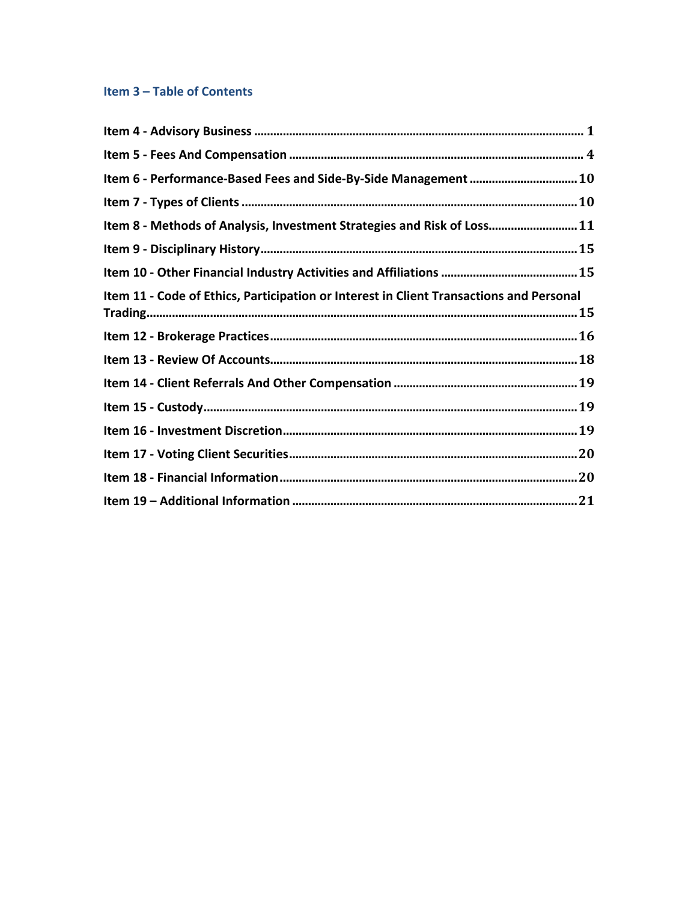# Item 3 - Table of Contents

| Item 6 - Performance-Based Fees and Side-By-Side Management  10                         |  |
|-----------------------------------------------------------------------------------------|--|
|                                                                                         |  |
| Item 8 - Methods of Analysis, Investment Strategies and Risk of Loss 11                 |  |
|                                                                                         |  |
|                                                                                         |  |
| Item 11 - Code of Ethics, Participation or Interest in Client Transactions and Personal |  |
|                                                                                         |  |
|                                                                                         |  |
|                                                                                         |  |
|                                                                                         |  |
|                                                                                         |  |
|                                                                                         |  |
|                                                                                         |  |
|                                                                                         |  |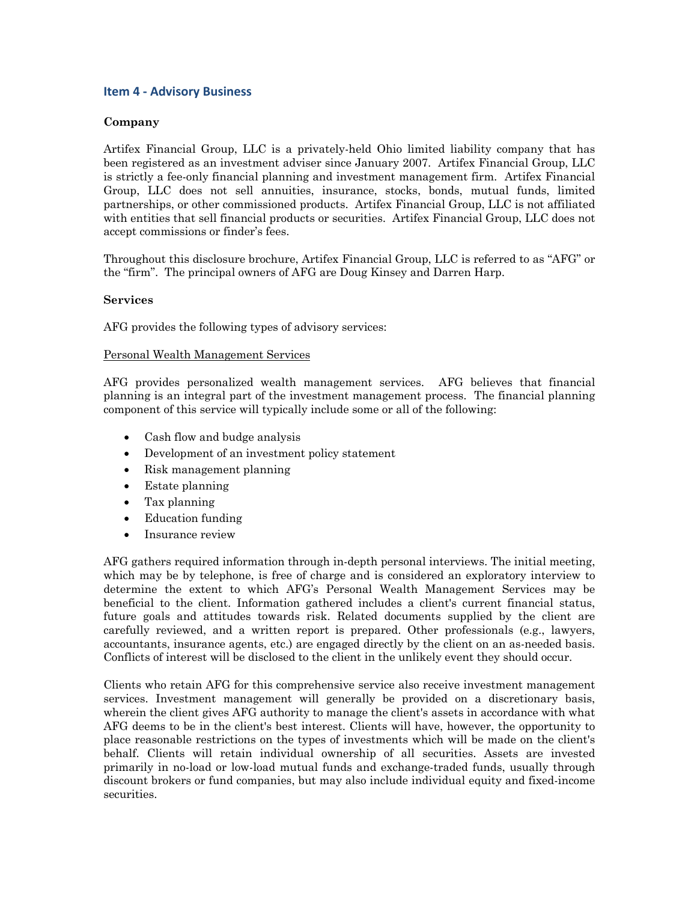# **Item 4 - Advisory Business**

# **Company**

Artifex Financial Group, LLC is a privately-held Ohio limited liability company that has been registered as an investment adviser since January 2007. Artifex Financial Group, LLC is strictly a fee-only financial planning and investment management firm. Artifex Financial Group, LLC does not sell annuities, insurance, stocks, bonds, mutual funds, limited partnerships, or other commissioned products. Artifex Financial Group, LLC is not affiliated with entities that sell financial products or securities. Artifex Financial Group, LLC does not accept commissions or finder's fees.

Throughout this disclosure brochure, Artifex Financial Group, LLC is referred to as "AFG" or the "firm". The principal owners of AFG are Doug Kinsey and Darren Harp.

#### **Services**

AFG provides the following types of advisory services:

## Personal Wealth Management Services

AFG provides personalized wealth management services. AFG believes that financial planning is an integral part of the investment management process. The financial planning component of this service will typically include some or all of the following:

- Cash flow and budge analysis
- Development of an investment policy statement
- Risk management planning
- Estate planning
- Tax planning
- Education funding
- Insurance review

AFG gathers required information through in-depth personal interviews. The initial meeting, which may be by telephone, is free of charge and is considered an exploratory interview to determine the extent to which AFG's Personal Wealth Management Services may be beneficial to the client. Information gathered includes a client's current financial status, future goals and attitudes towards risk. Related documents supplied by the client are carefully reviewed, and a written report is prepared. Other professionals (e.g., lawyers, accountants, insurance agents, etc.) are engaged directly by the client on an as-needed basis. Conflicts of interest will be disclosed to the client in the unlikely event they should occur.

Clients who retain AFG for this comprehensive service also receive investment management services. Investment management will generally be provided on a discretionary basis, wherein the client gives AFG authority to manage the client's assets in accordance with what AFG deems to be in the client's best interest. Clients will have, however, the opportunity to place reasonable restrictions on the types of investments which will be made on the client's behalf. Clients will retain individual ownership of all securities. Assets are invested primarily in no-load or low-load mutual funds and exchange-traded funds, usually through discount brokers or fund companies, but may also include individual equity and fixed-income securities.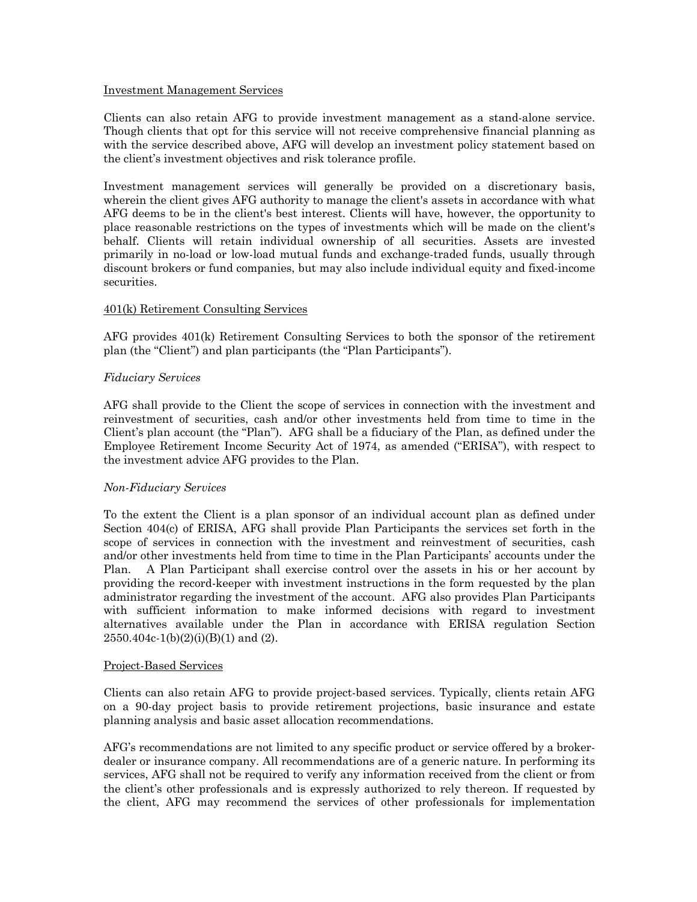#### Investment Management Services

Clients can also retain AFG to provide investment management as a stand-alone service. Though clients that opt for this service will not receive comprehensive financial planning as with the service described above, AFG will develop an investment policy statement based on the client's investment objectives and risk tolerance profile.

Investment management services will generally be provided on a discretionary basis, wherein the client gives AFG authority to manage the client's assets in accordance with what AFG deems to be in the client's best interest. Clients will have, however, the opportunity to place reasonable restrictions on the types of investments which will be made on the client's behalf. Clients will retain individual ownership of all securities. Assets are invested primarily in no-load or low-load mutual funds and exchange-traded funds, usually through discount brokers or fund companies, but may also include individual equity and fixed-income securities.

#### 401(k) Retirement Consulting Services

AFG provides 401(k) Retirement Consulting Services to both the sponsor of the retirement plan (the "Client") and plan participants (the "Plan Participants").

#### *Fiduciary Services*

AFG shall provide to the Client the scope of services in connection with the investment and reinvestment of securities, cash and/or other investments held from time to time in the Client's plan account (the "Plan"). AFG shall be a fiduciary of the Plan, as defined under the Employee Retirement Income Security Act of 1974, as amended ("ERISA"), with respect to the investment advice AFG provides to the Plan.

#### *Non-Fiduciary Services*

To the extent the Client is a plan sponsor of an individual account plan as defined under Section 404(c) of ERISA, AFG shall provide Plan Participants the services set forth in the scope of services in connection with the investment and reinvestment of securities, cash and/or other investments held from time to time in the Plan Participants' accounts under the Plan. A Plan Participant shall exercise control over the assets in his or her account by providing the record-keeper with investment instructions in the form requested by the plan administrator regarding the investment of the account. AFG also provides Plan Participants with sufficient information to make informed decisions with regard to investment alternatives available under the Plan in accordance with ERISA regulation Section  $2550.404c-1(b)(2)(i)(B)(1)$  and (2).

#### Project-Based Services

Clients can also retain AFG to provide project-based services. Typically, clients retain AFG on a 90-day project basis to provide retirement projections, basic insurance and estate planning analysis and basic asset allocation recommendations.

AFG's recommendations are not limited to any specific product or service offered by a brokerdealer or insurance company. All recommendations are of a generic nature. In performing its services, AFG shall not be required to verify any information received from the client or from the client's other professionals and is expressly authorized to rely thereon. If requested by the client, AFG may recommend the services of other professionals for implementation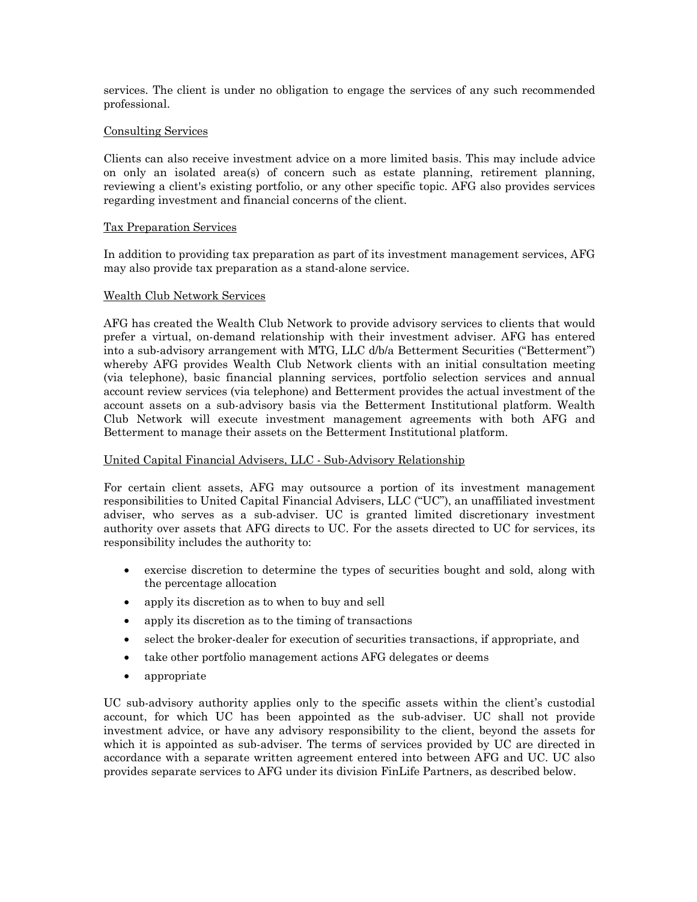services. The client is under no obligation to engage the services of any such recommended professional.

#### Consulting Services

Clients can also receive investment advice on a more limited basis. This may include advice on only an isolated area(s) of concern such as estate planning, retirement planning, reviewing a client's existing portfolio, or any other specific topic. AFG also provides services regarding investment and financial concerns of the client.

#### Tax Preparation Services

In addition to providing tax preparation as part of its investment management services, AFG may also provide tax preparation as a stand-alone service.

## Wealth Club Network Services

AFG has created the Wealth Club Network to provide advisory services to clients that would prefer a virtual, on-demand relationship with their investment adviser. AFG has entered into a sub-advisory arrangement with MTG, LLC d/b/a Betterment Securities ("Betterment") whereby AFG provides Wealth Club Network clients with an initial consultation meeting (via telephone), basic financial planning services, portfolio selection services and annual account review services (via telephone) and Betterment provides the actual investment of the account assets on a sub-advisory basis via the Betterment Institutional platform. Wealth Club Network will execute investment management agreements with both AFG and Betterment to manage their assets on the Betterment Institutional platform.

#### United Capital Financial Advisers, LLC - Sub-Advisory Relationship

For certain client assets, AFG may outsource a portion of its investment management responsibilities to United Capital Financial Advisers, LLC ("UC"), an unaffiliated investment adviser, who serves as a sub-adviser. UC is granted limited discretionary investment authority over assets that AFG directs to UC. For the assets directed to UC for services, its responsibility includes the authority to:

- exercise discretion to determine the types of securities bought and sold, along with the percentage allocation
- apply its discretion as to when to buy and sell
- apply its discretion as to the timing of transactions
- select the broker-dealer for execution of securities transactions, if appropriate, and
- take other portfolio management actions AFG delegates or deems
- appropriate

UC sub-advisory authority applies only to the specific assets within the client's custodial account, for which UC has been appointed as the sub-adviser. UC shall not provide investment advice, or have any advisory responsibility to the client, beyond the assets for which it is appointed as sub-adviser. The terms of services provided by UC are directed in accordance with a separate written agreement entered into between AFG and UC. UC also provides separate services to AFG under its division FinLife Partners, as described below.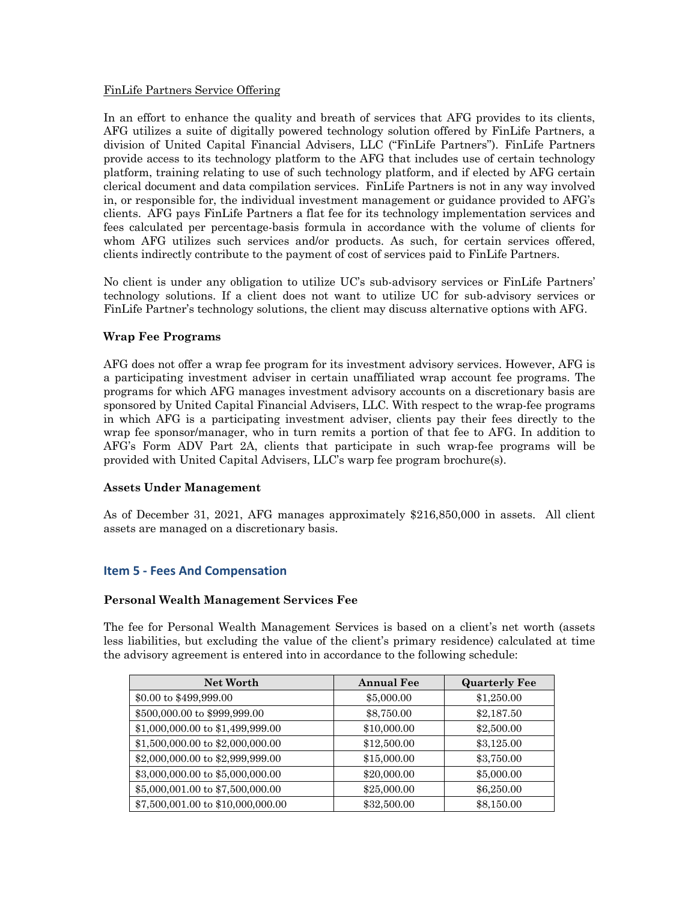## FinLife Partners Service Offering

In an effort to enhance the quality and breath of services that AFG provides to its clients, AFG utilizes a suite of digitally powered technology solution offered by FinLife Partners, a division of United Capital Financial Advisers, LLC ("FinLife Partners"). FinLife Partners provide access to its technology platform to the AFG that includes use of certain technology platform, training relating to use of such technology platform, and if elected by AFG certain clerical document and data compilation services. FinLife Partners is not in any way involved in, or responsible for, the individual investment management or guidance provided to AFG's clients. AFG pays FinLife Partners a flat fee for its technology implementation services and fees calculated per percentage-basis formula in accordance with the volume of clients for whom AFG utilizes such services and/or products. As such, for certain services offered, clients indirectly contribute to the payment of cost of services paid to FinLife Partners.

No client is under any obligation to utilize UC's sub-advisory services or FinLife Partners' technology solutions. If a client does not want to utilize UC for sub-advisory services or FinLife Partner's technology solutions, the client may discuss alternative options with AFG.

# **Wrap Fee Programs**

AFG does not offer a wrap fee program for its investment advisory services. However, AFG is a participating investment adviser in certain unaffiliated wrap account fee programs. The programs for which AFG manages investment advisory accounts on a discretionary basis are sponsored by United Capital Financial Advisers, LLC. With respect to the wrap-fee programs in which AFG is a participating investment adviser, clients pay their fees directly to the wrap fee sponsor/manager, who in turn remits a portion of that fee to AFG. In addition to AFG's Form ADV Part 2A, clients that participate in such wrap-fee programs will be provided with United Capital Advisers, LLC's warp fee program brochure(s).

#### **Assets Under Management**

As of December 31, 2021, AFG manages approximately \$216,850,000 in assets. All client assets are managed on a discretionary basis.

# **Item 5 - Fees And Compensation**

#### **Personal Wealth Management Services Fee**

The fee for Personal Wealth Management Services is based on a client's net worth (assets less liabilities, but excluding the value of the client's primary residence) calculated at time the advisory agreement is entered into in accordance to the following schedule:

| <b>Net Worth</b>                  | <b>Annual Fee</b> | <b>Quarterly Fee</b> |
|-----------------------------------|-------------------|----------------------|
| \$0.00 to \$499,999.00            | \$5,000.00        | \$1,250.00           |
| \$500,000.00 to \$999,999.00      | \$8,750.00        | \$2,187.50           |
| \$1,000,000.00 to \$1,499,999.00  | \$10,000.00       | \$2,500.00           |
| \$1,500,000.00 to \$2,000,000.00  | \$12,500.00       | \$3,125.00           |
| \$2,000,000.00 to \$2,999,999.00  | \$15,000.00       | \$3,750.00           |
| \$3,000,000.00 to \$5,000,000.00  | \$20,000.00       | \$5,000.00           |
| \$5,000,001.00 to \$7,500,000.00  | \$25,000.00       | \$6,250.00           |
| \$7,500,001.00 to \$10,000,000.00 | \$32,500.00       | \$8,150.00           |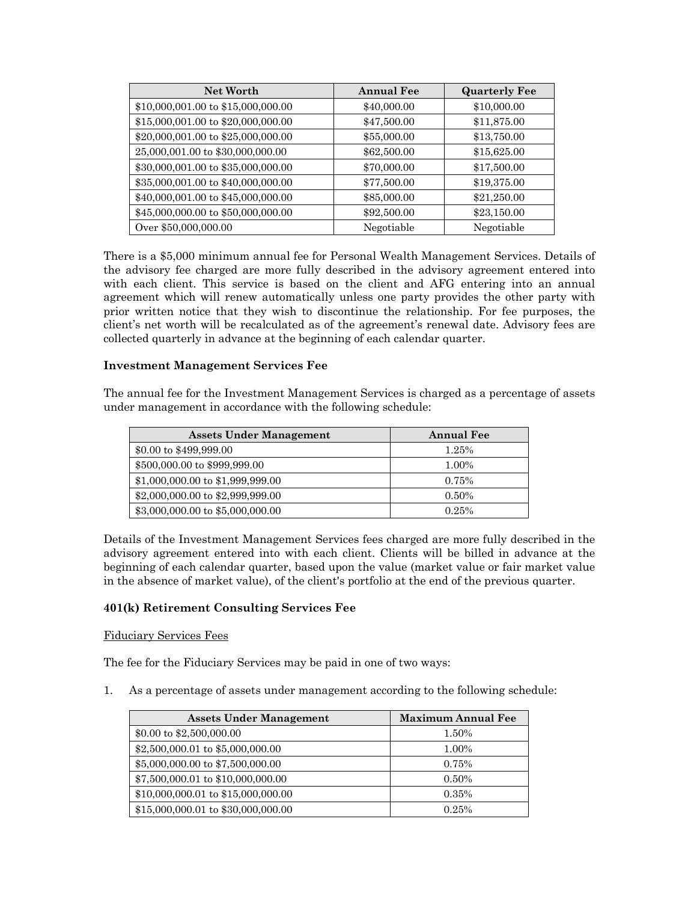| <b>Net Worth</b>                   | <b>Annual Fee</b> | <b>Quarterly Fee</b> |
|------------------------------------|-------------------|----------------------|
| \$10,000,001.00 to \$15,000,000.00 | \$40,000.00       | \$10,000.00          |
| \$15,000,001.00 to \$20,000,000.00 | \$47,500.00       | \$11,875.00          |
| \$20,000,001.00 to \$25,000,000.00 | \$55,000.00       | \$13,750.00          |
| 25,000,001.00 to \$30,000,000.00   | \$62,500.00       | \$15,625.00          |
| \$30,000,001.00 to \$35,000,000.00 | \$70,000.00       | \$17,500.00          |
| \$35,000,001.00 to \$40,000,000.00 | \$77,500.00       | \$19,375.00          |
| \$40,000,001.00 to \$45,000,000.00 | \$85,000.00       | \$21,250.00          |
| \$45,000,000.00 to \$50,000,000.00 | \$92,500.00       | \$23,150.00          |
| Over \$50,000,000.00               | Negotiable        | Negotiable           |

There is a \$5,000 minimum annual fee for Personal Wealth Management Services. Details of the advisory fee charged are more fully described in the advisory agreement entered into with each client. This service is based on the client and AFG entering into an annual agreement which will renew automatically unless one party provides the other party with prior written notice that they wish to discontinue the relationship. For fee purposes, the client's net worth will be recalculated as of the agreement's renewal date. Advisory fees are collected quarterly in advance at the beginning of each calendar quarter.

## **Investment Management Services Fee**

The annual fee for the Investment Management Services is charged as a percentage of assets under management in accordance with the following schedule:

| <b>Assets Under Management</b>   | <b>Annual Fee</b> |
|----------------------------------|-------------------|
| \$0.00 to \$499,999.00           | 1.25%             |
| \$500,000.00 to \$999,999.00     | 1.00%             |
| \$1,000,000.00 to \$1,999,999.00 | 0.75%             |
| \$2,000,000.00 to \$2,999,999.00 | 0.50%             |
| \$3,000,000.00 to \$5,000,000.00 | 0.25%             |

Details of the Investment Management Services fees charged are more fully described in the advisory agreement entered into with each client. Clients will be billed in advance at the beginning of each calendar quarter, based upon the value (market value or fair market value in the absence of market value), of the client's portfolio at the end of the previous quarter.

# **401(k) Retirement Consulting Services Fee**

#### Fiduciary Services Fees

The fee for the Fiduciary Services may be paid in one of two ways:

1. As a percentage of assets under management according to the following schedule:

| <b>Assets Under Management</b>     | <b>Maximum Annual Fee</b> |
|------------------------------------|---------------------------|
| \$0.00 to $$2,500,000.00$          | 1.50%                     |
| \$2,500,000.01 to \$5,000,000.00   | 1.00%                     |
| \$5,000,000.00 to \$7,500,000.00   | 0.75%                     |
| \$7,500,000.01 to \$10,000,000.00  | 0.50%                     |
| \$10,000,000.01 to \$15,000,000.00 | 0.35%                     |
| \$15,000,000.01 to \$30,000,000.00 | 0.25%                     |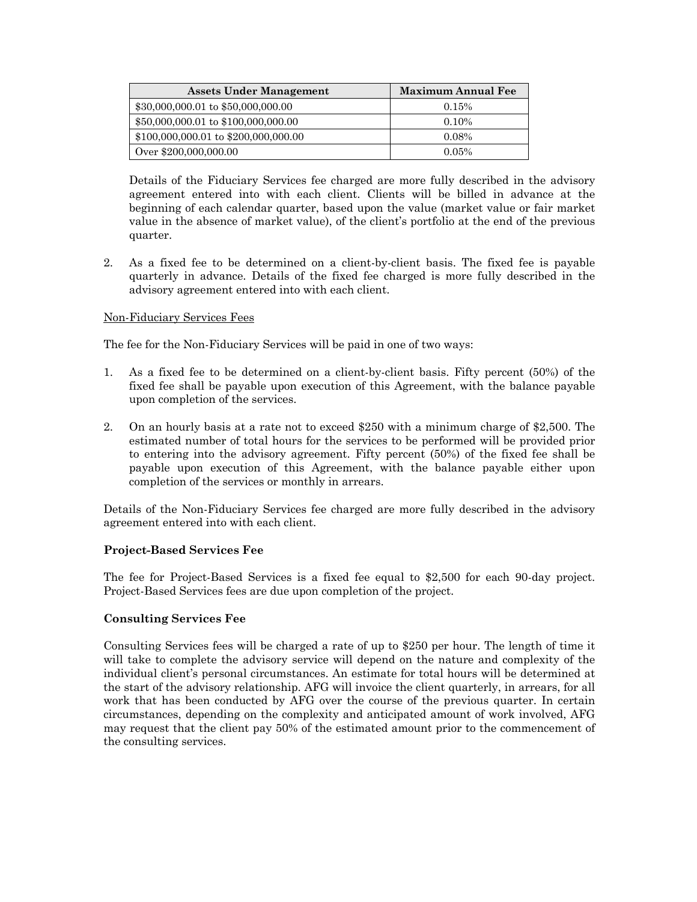| <b>Assets Under Management</b>         | <b>Maximum Annual Fee</b> |
|----------------------------------------|---------------------------|
| \$30,000,000.01 to \$50,000,000.00     | 0.15%                     |
| \$50,000,000.01 to \$100,000,000.00    | $0.10\%$                  |
| $$100,000,000.01$ to $$200,000,000.00$ | $0.08\%$                  |
| Over \$200,000,000.00                  | $0.05\%$                  |

Details of the Fiduciary Services fee charged are more fully described in the advisory agreement entered into with each client. Clients will be billed in advance at the beginning of each calendar quarter, based upon the value (market value or fair market value in the absence of market value), of the client's portfolio at the end of the previous quarter.

2. As a fixed fee to be determined on a client-by-client basis. The fixed fee is payable quarterly in advance. Details of the fixed fee charged is more fully described in the advisory agreement entered into with each client.

## Non-Fiduciary Services Fees

The fee for the Non-Fiduciary Services will be paid in one of two ways:

- 1. As a fixed fee to be determined on a client-by-client basis. Fifty percent (50%) of the fixed fee shall be payable upon execution of this Agreement, with the balance payable upon completion of the services.
- 2. On an hourly basis at a rate not to exceed \$250 with a minimum charge of \$2,500. The estimated number of total hours for the services to be performed will be provided prior to entering into the advisory agreement. Fifty percent (50%) of the fixed fee shall be payable upon execution of this Agreement, with the balance payable either upon completion of the services or monthly in arrears.

Details of the Non-Fiduciary Services fee charged are more fully described in the advisory agreement entered into with each client.

#### **Project-Based Services Fee**

The fee for Project-Based Services is a fixed fee equal to \$2,500 for each 90-day project. Project-Based Services fees are due upon completion of the project.

#### **Consulting Services Fee**

Consulting Services fees will be charged a rate of up to \$250 per hour. The length of time it will take to complete the advisory service will depend on the nature and complexity of the individual client's personal circumstances. An estimate for total hours will be determined at the start of the advisory relationship. AFG will invoice the client quarterly, in arrears, for all work that has been conducted by AFG over the course of the previous quarter. In certain circumstances, depending on the complexity and anticipated amount of work involved, AFG may request that the client pay 50% of the estimated amount prior to the commencement of the consulting services.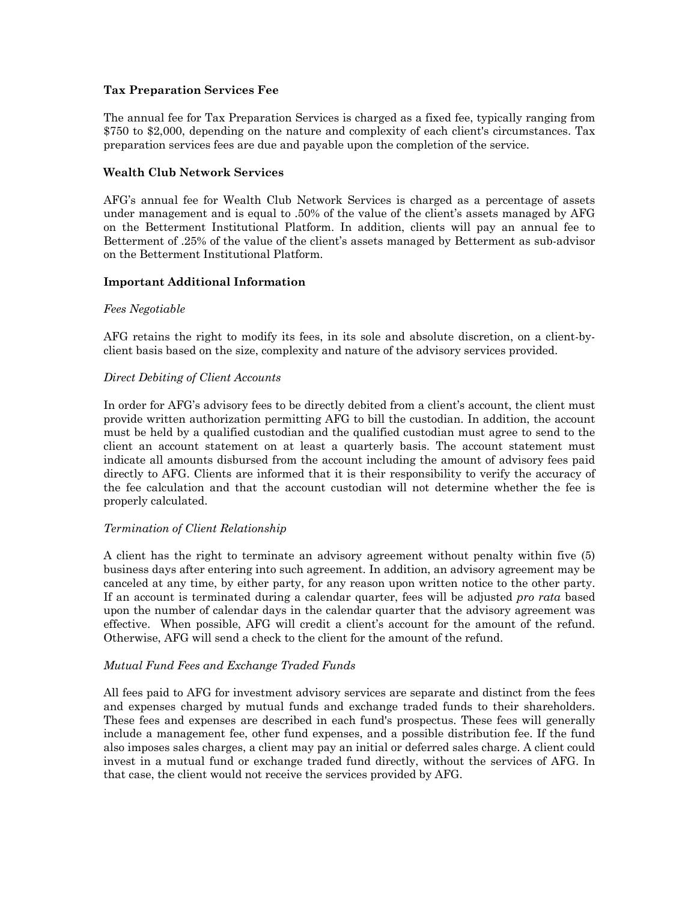## **Tax Preparation Services Fee**

The annual fee for Tax Preparation Services is charged as a fixed fee, typically ranging from \$750 to \$2,000, depending on the nature and complexity of each client's circumstances. Tax preparation services fees are due and payable upon the completion of the service.

## **Wealth Club Network Services**

AFG's annual fee for Wealth Club Network Services is charged as a percentage of assets under management and is equal to .50% of the value of the client's assets managed by AFG on the Betterment Institutional Platform. In addition, clients will pay an annual fee to Betterment of .25% of the value of the client's assets managed by Betterment as sub-advisor on the Betterment Institutional Platform.

## **Important Additional Information**

## *Fees Negotiable*

AFG retains the right to modify its fees, in its sole and absolute discretion, on a client-byclient basis based on the size, complexity and nature of the advisory services provided.

#### *Direct Debiting of Client Accounts*

In order for AFG's advisory fees to be directly debited from a client's account, the client must provide written authorization permitting AFG to bill the custodian. In addition, the account must be held by a qualified custodian and the qualified custodian must agree to send to the client an account statement on at least a quarterly basis. The account statement must indicate all amounts disbursed from the account including the amount of advisory fees paid directly to AFG. Clients are informed that it is their responsibility to verify the accuracy of the fee calculation and that the account custodian will not determine whether the fee is properly calculated.

#### *Termination of Client Relationship*

A client has the right to terminate an advisory agreement without penalty within five (5) business days after entering into such agreement. In addition, an advisory agreement may be canceled at any time, by either party, for any reason upon written notice to the other party. If an account is terminated during a calendar quarter, fees will be adjusted *pro rata* based upon the number of calendar days in the calendar quarter that the advisory agreement was effective. When possible, AFG will credit a client's account for the amount of the refund. Otherwise, AFG will send a check to the client for the amount of the refund.

#### *Mutual Fund Fees and Exchange Traded Funds*

All fees paid to AFG for investment advisory services are separate and distinct from the fees and expenses charged by mutual funds and exchange traded funds to their shareholders. These fees and expenses are described in each fund's prospectus. These fees will generally include a management fee, other fund expenses, and a possible distribution fee. If the fund also imposes sales charges, a client may pay an initial or deferred sales charge. A client could invest in a mutual fund or exchange traded fund directly, without the services of AFG. In that case, the client would not receive the services provided by AFG.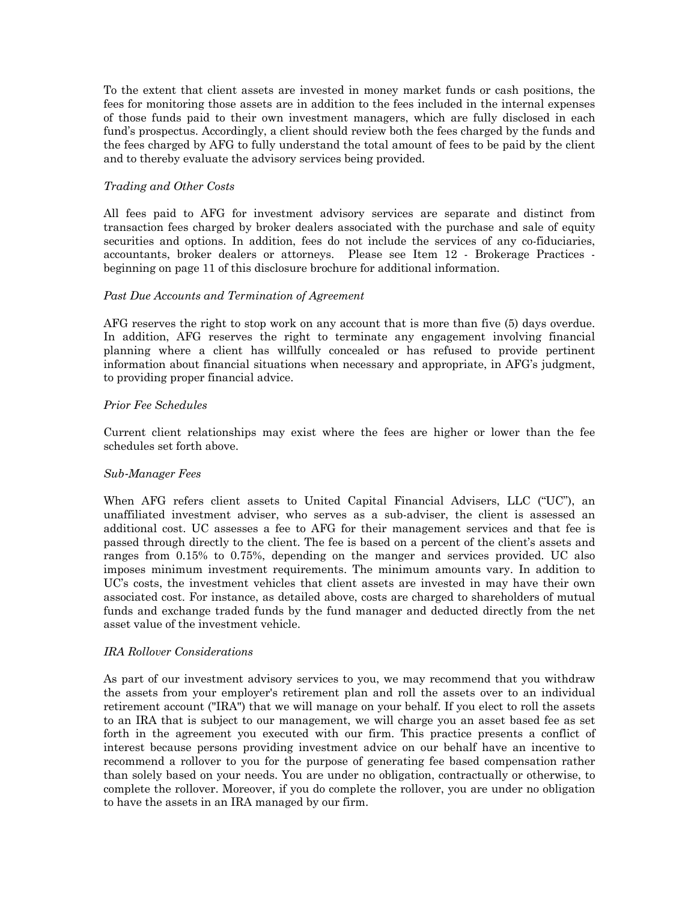To the extent that client assets are invested in money market funds or cash positions, the fees for monitoring those assets are in addition to the fees included in the internal expenses of those funds paid to their own investment managers, which are fully disclosed in each fund's prospectus. Accordingly, a client should review both the fees charged by the funds and the fees charged by AFG to fully understand the total amount of fees to be paid by the client and to thereby evaluate the advisory services being provided.

#### *Trading and Other Costs*

All fees paid to AFG for investment advisory services are separate and distinct from transaction fees charged by broker dealers associated with the purchase and sale of equity securities and options. In addition, fees do not include the services of any co-fiduciaries, accountants, broker dealers or attorneys. Please see Item 12 - Brokerage Practices beginning on page 11 of this disclosure brochure for additional information.

#### *Past Due Accounts and Termination of Agreement*

AFG reserves the right to stop work on any account that is more than five (5) days overdue. In addition, AFG reserves the right to terminate any engagement involving financial planning where a client has willfully concealed or has refused to provide pertinent information about financial situations when necessary and appropriate, in AFG's judgment, to providing proper financial advice.

## *Prior Fee Schedules*

Current client relationships may exist where the fees are higher or lower than the fee schedules set forth above.

#### *Sub*-*Manager Fees*

When AFG refers client assets to United Capital Financial Advisers, LLC ("UC"), an unaffiliated investment adviser, who serves as a sub-adviser, the client is assessed an additional cost. UC assesses a fee to AFG for their management services and that fee is passed through directly to the client. The fee is based on a percent of the client's assets and ranges from 0.15% to 0.75%, depending on the manger and services provided. UC also imposes minimum investment requirements. The minimum amounts vary. In addition to UC's costs, the investment vehicles that client assets are invested in may have their own associated cost. For instance, as detailed above, costs are charged to shareholders of mutual funds and exchange traded funds by the fund manager and deducted directly from the net asset value of the investment vehicle.

#### *IRA Rollover Considerations*

As part of our investment advisory services to you, we may recommend that you withdraw the assets from your employer's retirement plan and roll the assets over to an individual retirement account ("IRA") that we will manage on your behalf. If you elect to roll the assets to an IRA that is subject to our management, we will charge you an asset based fee as set forth in the agreement you executed with our firm. This practice presents a conflict of interest because persons providing investment advice on our behalf have an incentive to recommend a rollover to you for the purpose of generating fee based compensation rather than solely based on your needs. You are under no obligation, contractually or otherwise, to complete the rollover. Moreover, if you do complete the rollover, you are under no obligation to have the assets in an IRA managed by our firm.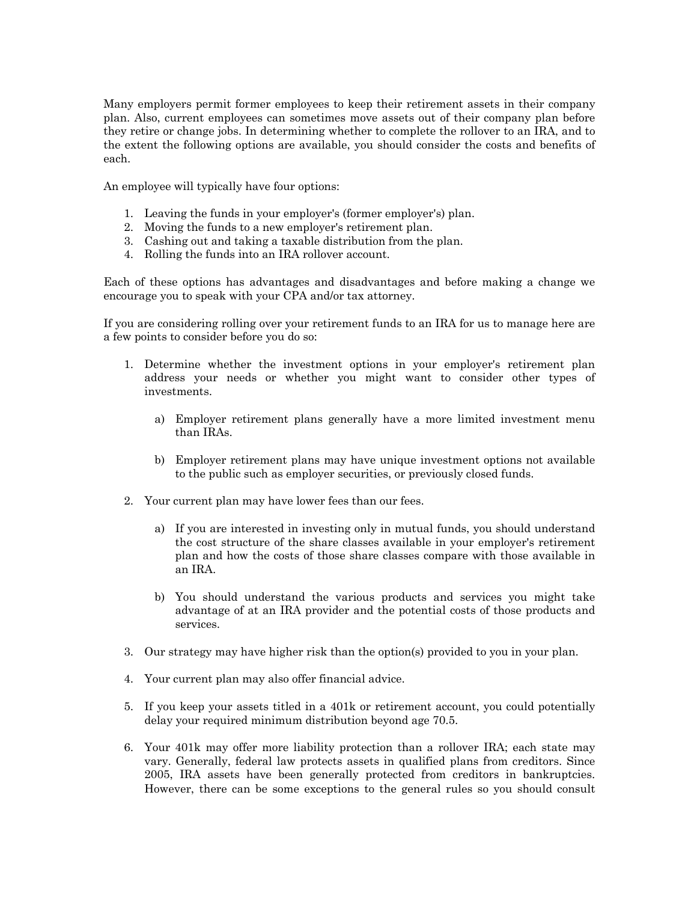Many employers permit former employees to keep their retirement assets in their company plan. Also, current employees can sometimes move assets out of their company plan before they retire or change jobs. In determining whether to complete the rollover to an IRA, and to the extent the following options are available, you should consider the costs and benefits of each.

An employee will typically have four options:

- 1. Leaving the funds in your employer's (former employer's) plan.
- 2. Moving the funds to a new employer's retirement plan.
- 3. Cashing out and taking a taxable distribution from the plan.
- 4. Rolling the funds into an IRA rollover account.

Each of these options has advantages and disadvantages and before making a change we encourage you to speak with your CPA and/or tax attorney.

If you are considering rolling over your retirement funds to an IRA for us to manage here are a few points to consider before you do so:

- 1. Determine whether the investment options in your employer's retirement plan address your needs or whether you might want to consider other types of investments.
	- a) Employer retirement plans generally have a more limited investment menu than IRAs.
	- b) Employer retirement plans may have unique investment options not available to the public such as employer securities, or previously closed funds.
- 2. Your current plan may have lower fees than our fees.
	- a) If you are interested in investing only in mutual funds, you should understand the cost structure of the share classes available in your employer's retirement plan and how the costs of those share classes compare with those available in an IRA.
	- b) You should understand the various products and services you might take advantage of at an IRA provider and the potential costs of those products and services.
- 3. Our strategy may have higher risk than the option(s) provided to you in your plan.
- 4. Your current plan may also offer financial advice.
- 5. If you keep your assets titled in a 401k or retirement account, you could potentially delay your required minimum distribution beyond age 70.5.
- 6. Your 401k may offer more liability protection than a rollover IRA; each state may vary. Generally, federal law protects assets in qualified plans from creditors. Since 2005, IRA assets have been generally protected from creditors in bankruptcies. However, there can be some exceptions to the general rules so you should consult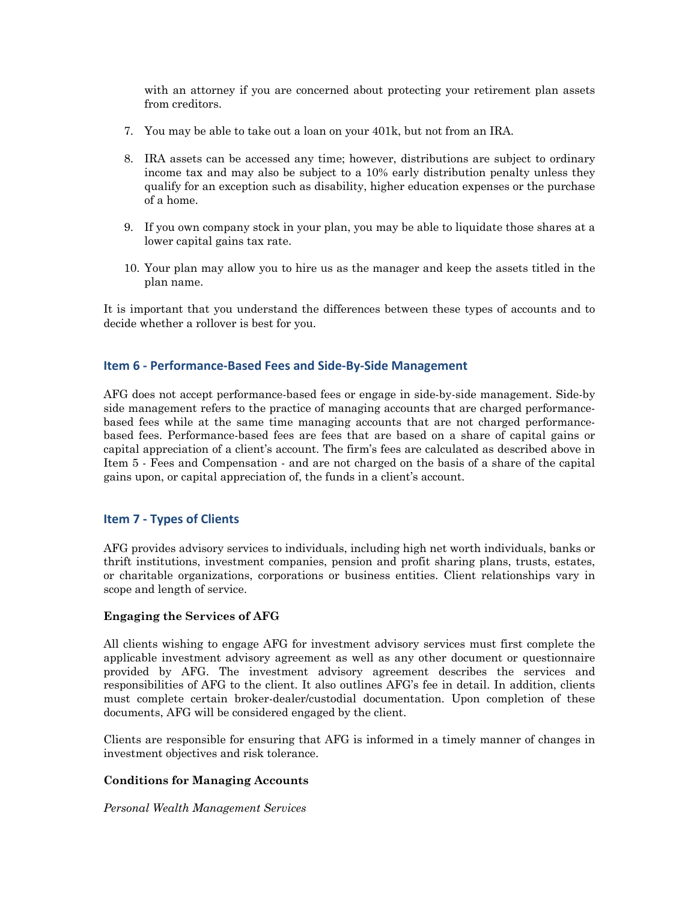with an attorney if you are concerned about protecting your retirement plan assets from creditors.

- 7. You may be able to take out a loan on your 401k, but not from an IRA.
- 8. IRA assets can be accessed any time; however, distributions are subject to ordinary income tax and may also be subject to a 10% early distribution penalty unless they qualify for an exception such as disability, higher education expenses or the purchase of a home.
- 9. If you own company stock in your plan, you may be able to liquidate those shares at a lower capital gains tax rate.
- 10. Your plan may allow you to hire us as the manager and keep the assets titled in the plan name.

It is important that you understand the differences between these types of accounts and to decide whether a rollover is best for you.

## **Item 6 - Performance-Based Fees and Side-By-Side Management**

AFG does not accept performance-based fees or engage in side-by-side management. Side-by side management refers to the practice of managing accounts that are charged performancebased fees while at the same time managing accounts that are not charged performancebased fees. Performance-based fees are fees that are based on a share of capital gains or capital appreciation of a client's account. The firm's fees are calculated as described above in Item 5 - Fees and Compensation - and are not charged on the basis of a share of the capital gains upon, or capital appreciation of, the funds in a client's account.

#### **Item 7 - Types of Clients**

AFG provides advisory services to individuals, including high net worth individuals, banks or thrift institutions, investment companies, pension and profit sharing plans, trusts, estates, or charitable organizations, corporations or business entities. Client relationships vary in scope and length of service.

#### **Engaging the Services of AFG**

All clients wishing to engage AFG for investment advisory services must first complete the applicable investment advisory agreement as well as any other document or questionnaire provided by AFG. The investment advisory agreement describes the services and responsibilities of AFG to the client. It also outlines AFG's fee in detail. In addition, clients must complete certain broker-dealer/custodial documentation. Upon completion of these documents, AFG will be considered engaged by the client.

Clients are responsible for ensuring that AFG is informed in a timely manner of changes in investment objectives and risk tolerance.

#### **Conditions for Managing Accounts**

*Personal Wealth Management Services*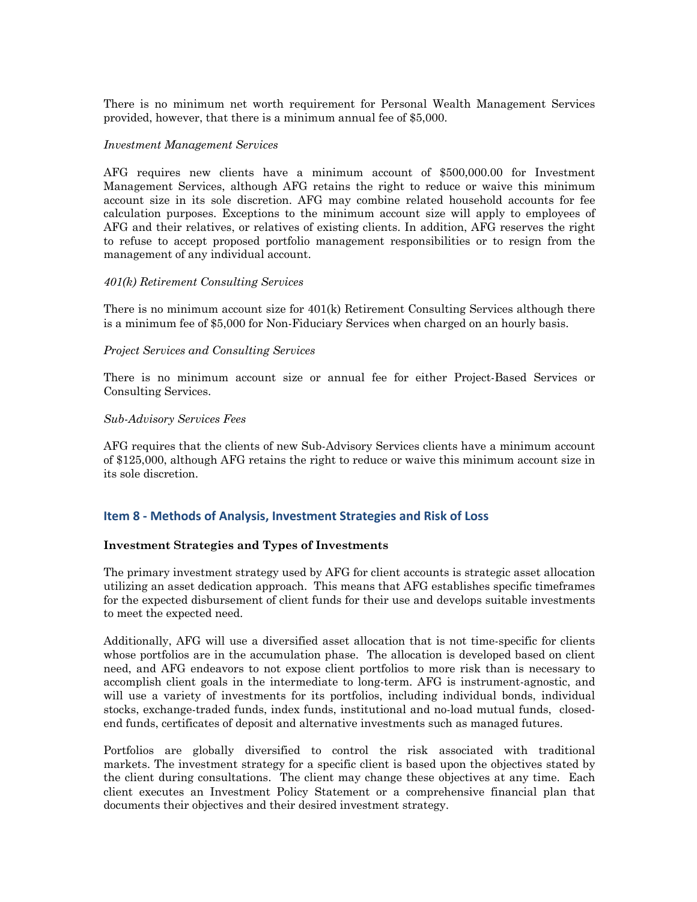There is no minimum net worth requirement for Personal Wealth Management Services provided, however, that there is a minimum annual fee of \$5,000.

#### *Investment Management Services*

AFG requires new clients have a minimum account of \$500,000.00 for Investment Management Services, although AFG retains the right to reduce or waive this minimum account size in its sole discretion. AFG may combine related household accounts for fee calculation purposes. Exceptions to the minimum account size will apply to employees of AFG and their relatives, or relatives of existing clients. In addition, AFG reserves the right to refuse to accept proposed portfolio management responsibilities or to resign from the management of any individual account.

#### *401(k) Retirement Consulting Services*

There is no minimum account size for 401(k) Retirement Consulting Services although there is a minimum fee of \$5,000 for Non-Fiduciary Services when charged on an hourly basis.

#### *Project Services and Consulting Services*

There is no minimum account size or annual fee for either Project-Based Services or Consulting Services.

#### *Sub-Advisory Services Fees*

AFG requires that the clients of new Sub-Advisory Services clients have a minimum account of \$125,000, although AFG retains the right to reduce or waive this minimum account size in its sole discretion.

# **Item 8 - Methods of Analysis, Investment Strategies and Risk of Loss**

#### **Investment Strategies and Types of Investments**

The primary investment strategy used by AFG for client accounts is strategic asset allocation utilizing an asset dedication approach. This means that AFG establishes specific timeframes for the expected disbursement of client funds for their use and develops suitable investments to meet the expected need.

Additionally, AFG will use a diversified asset allocation that is not time-specific for clients whose portfolios are in the accumulation phase. The allocation is developed based on client need, and AFG endeavors to not expose client portfolios to more risk than is necessary to accomplish client goals in the intermediate to long-term. AFG is instrument-agnostic, and will use a variety of investments for its portfolios, including individual bonds, individual stocks, exchange-traded funds, index funds, institutional and no-load mutual funds, closedend funds, certificates of deposit and alternative investments such as managed futures.

Portfolios are globally diversified to control the risk associated with traditional markets. The investment strategy for a specific client is based upon the objectives stated by the client during consultations. The client may change these objectives at any time. Each client executes an Investment Policy Statement or a comprehensive financial plan that documents their objectives and their desired investment strategy.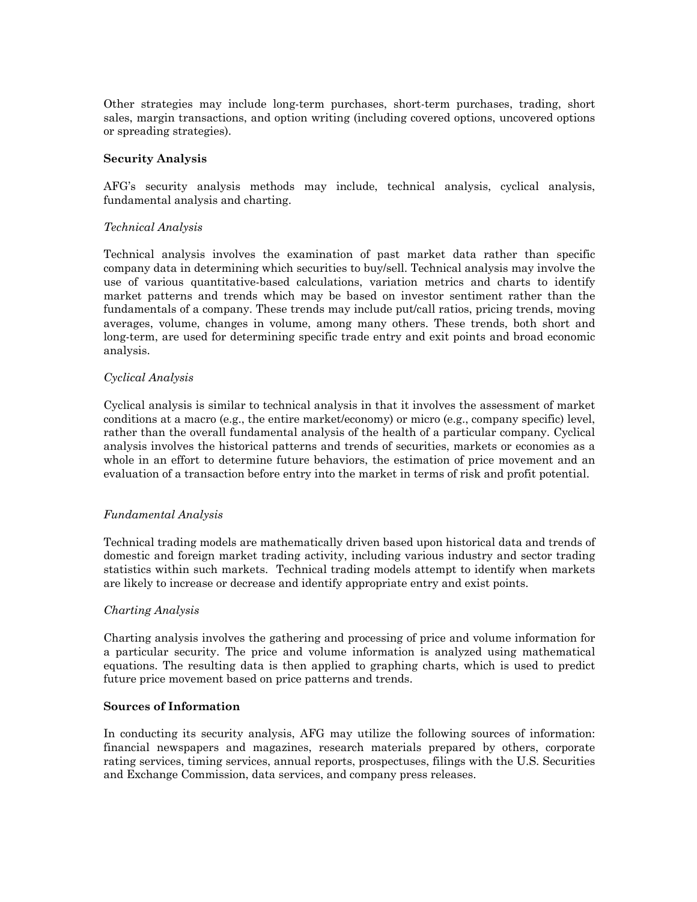Other strategies may include long-term purchases, short-term purchases, trading, short sales, margin transactions, and option writing (including covered options, uncovered options or spreading strategies).

#### **Security Analysis**

AFG's security analysis methods may include, technical analysis, cyclical analysis, fundamental analysis and charting.

## *Technical Analysis*

Technical analysis involves the examination of past market data rather than specific company data in determining which securities to buy/sell. Technical analysis may involve the use of various quantitative-based calculations, variation metrics and charts to identify market patterns and trends which may be based on investor sentiment rather than the fundamentals of a company. These trends may include put/call ratios, pricing trends, moving averages, volume, changes in volume, among many others. These trends, both short and long-term, are used for determining specific trade entry and exit points and broad economic analysis.

## *Cyclical Analysis*

Cyclical analysis is similar to technical analysis in that it involves the assessment of market conditions at a macro (e.g., the entire market/economy) or micro (e.g., company specific) level, rather than the overall fundamental analysis of the health of a particular company. Cyclical analysis involves the historical patterns and trends of securities, markets or economies as a whole in an effort to determine future behaviors, the estimation of price movement and an evaluation of a transaction before entry into the market in terms of risk and profit potential.

# *Fundamental Analysis*

Technical trading models are mathematically driven based upon historical data and trends of domestic and foreign market trading activity, including various industry and sector trading statistics within such markets. Technical trading models attempt to identify when markets are likely to increase or decrease and identify appropriate entry and exist points.

#### *Charting Analysis*

Charting analysis involves the gathering and processing of price and volume information for a particular security. The price and volume information is analyzed using mathematical equations. The resulting data is then applied to graphing charts, which is used to predict future price movement based on price patterns and trends.

#### **Sources of Information**

In conducting its security analysis, AFG may utilize the following sources of information: financial newspapers and magazines, research materials prepared by others, corporate rating services, timing services, annual reports, prospectuses, filings with the U.S. Securities and Exchange Commission, data services, and company press releases.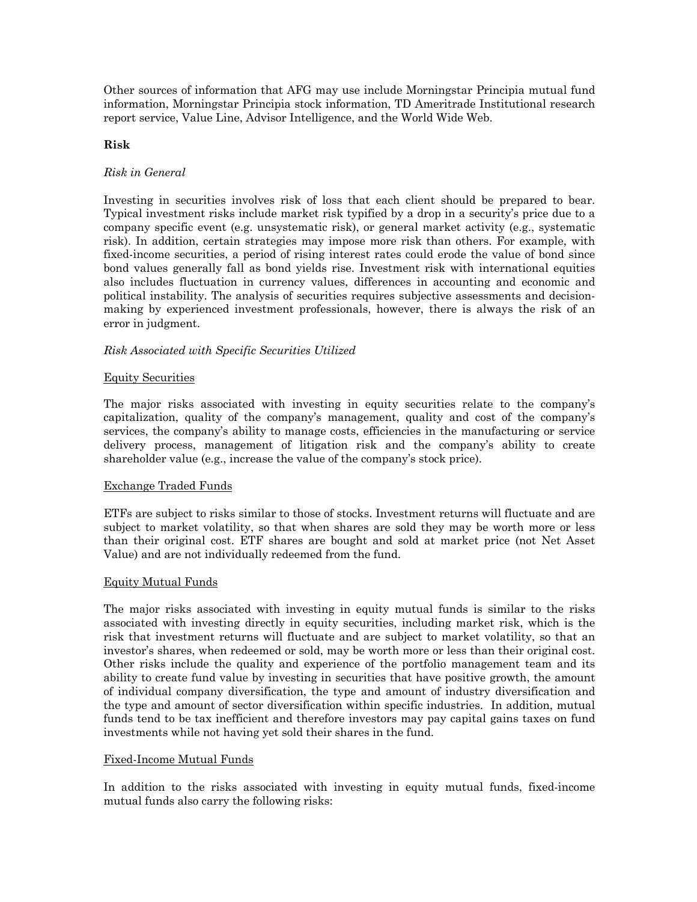Other sources of information that AFG may use include Morningstar Principia mutual fund information, Morningstar Principia stock information, TD Ameritrade Institutional research report service, Value Line, Advisor Intelligence, and the World Wide Web.

#### **Risk**

#### *Risk in General*

Investing in securities involves risk of loss that each client should be prepared to bear. Typical investment risks include market risk typified by a drop in a security's price due to a company specific event (e.g. unsystematic risk), or general market activity (e.g., systematic risk). In addition, certain strategies may impose more risk than others. For example, with fixed-income securities, a period of rising interest rates could erode the value of bond since bond values generally fall as bond yields rise. Investment risk with international equities also includes fluctuation in currency values, differences in accounting and economic and political instability. The analysis of securities requires subjective assessments and decisionmaking by experienced investment professionals, however, there is always the risk of an error in judgment.

## *Risk Associated with Specific Securities Utilized*

## Equity Securities

The major risks associated with investing in equity securities relate to the company's capitalization, quality of the company's management, quality and cost of the company's services, the company's ability to manage costs, efficiencies in the manufacturing or service delivery process, management of litigation risk and the company's ability to create shareholder value (e.g., increase the value of the company's stock price).

#### Exchange Traded Funds

ETFs are subject to risks similar to those of stocks. Investment returns will fluctuate and are subject to market volatility, so that when shares are sold they may be worth more or less than their original cost. ETF shares are bought and sold at market price (not Net Asset Value) and are not individually redeemed from the fund.

#### Equity Mutual Funds

The major risks associated with investing in equity mutual funds is similar to the risks associated with investing directly in equity securities, including market risk, which is the risk that investment returns will fluctuate and are subject to market volatility, so that an investor's shares, when redeemed or sold, may be worth more or less than their original cost. Other risks include the quality and experience of the portfolio management team and its ability to create fund value by investing in securities that have positive growth, the amount of individual company diversification, the type and amount of industry diversification and the type and amount of sector diversification within specific industries. In addition, mutual funds tend to be tax inefficient and therefore investors may pay capital gains taxes on fund investments while not having yet sold their shares in the fund.

#### Fixed-Income Mutual Funds

In addition to the risks associated with investing in equity mutual funds, fixed-income mutual funds also carry the following risks: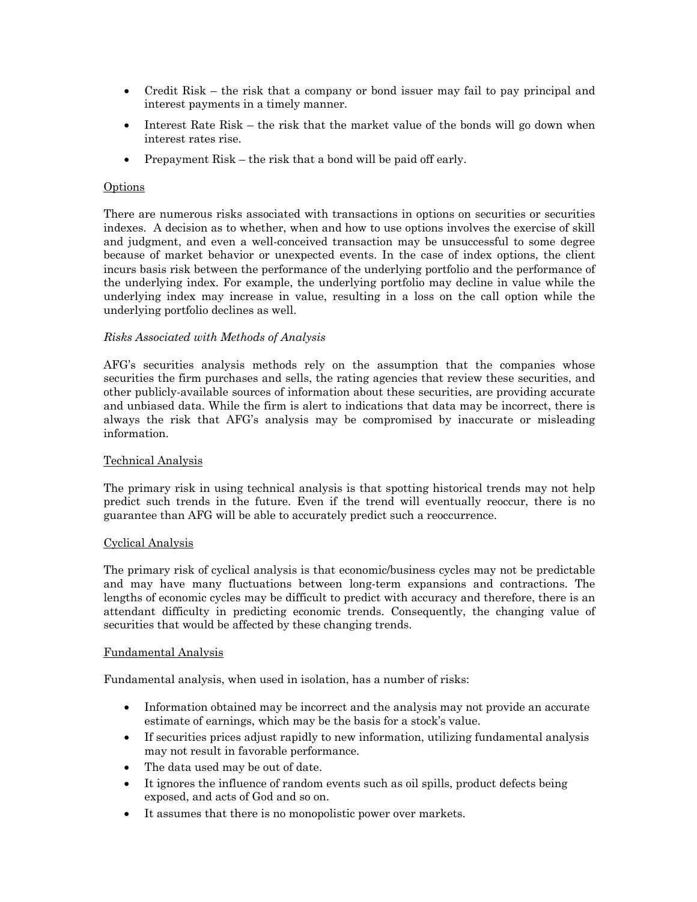- Credit Risk the risk that a company or bond issuer may fail to pay principal and interest payments in a timely manner.
- Interest Rate Risk the risk that the market value of the bonds will go down when interest rates rise.
- Prepayment Risk the risk that a bond will be paid off early.

#### Options

There are numerous risks associated with transactions in options on securities or securities indexes. A decision as to whether, when and how to use options involves the exercise of skill and judgment, and even a well-conceived transaction may be unsuccessful to some degree because of market behavior or unexpected events. In the case of index options, the client incurs basis risk between the performance of the underlying portfolio and the performance of the underlying index. For example, the underlying portfolio may decline in value while the underlying index may increase in value, resulting in a loss on the call option while the underlying portfolio declines as well.

## *Risks Associated with Methods of Analysis*

AFG's securities analysis methods rely on the assumption that the companies whose securities the firm purchases and sells, the rating agencies that review these securities, and other publicly-available sources of information about these securities, are providing accurate and unbiased data. While the firm is alert to indications that data may be incorrect, there is always the risk that AFG's analysis may be compromised by inaccurate or misleading information.

#### Technical Analysis

The primary risk in using technical analysis is that spotting historical trends may not help predict such trends in the future. Even if the trend will eventually reoccur, there is no guarantee than AFG will be able to accurately predict such a reoccurrence.

#### Cyclical Analysis

The primary risk of cyclical analysis is that economic/business cycles may not be predictable and may have many fluctuations between long-term expansions and contractions. The lengths of economic cycles may be difficult to predict with accuracy and therefore, there is an attendant difficulty in predicting economic trends. Consequently, the changing value of securities that would be affected by these changing trends.

#### Fundamental Analysis

Fundamental analysis, when used in isolation, has a number of risks:

- Information obtained may be incorrect and the analysis may not provide an accurate estimate of earnings, which may be the basis for a stock's value.
- If securities prices adjust rapidly to new information, utilizing fundamental analysis may not result in favorable performance.
- The data used may be out of date.
- It ignores the influence of random events such as oil spills, product defects being exposed, and acts of God and so on.
- It assumes that there is no monopolistic power over markets.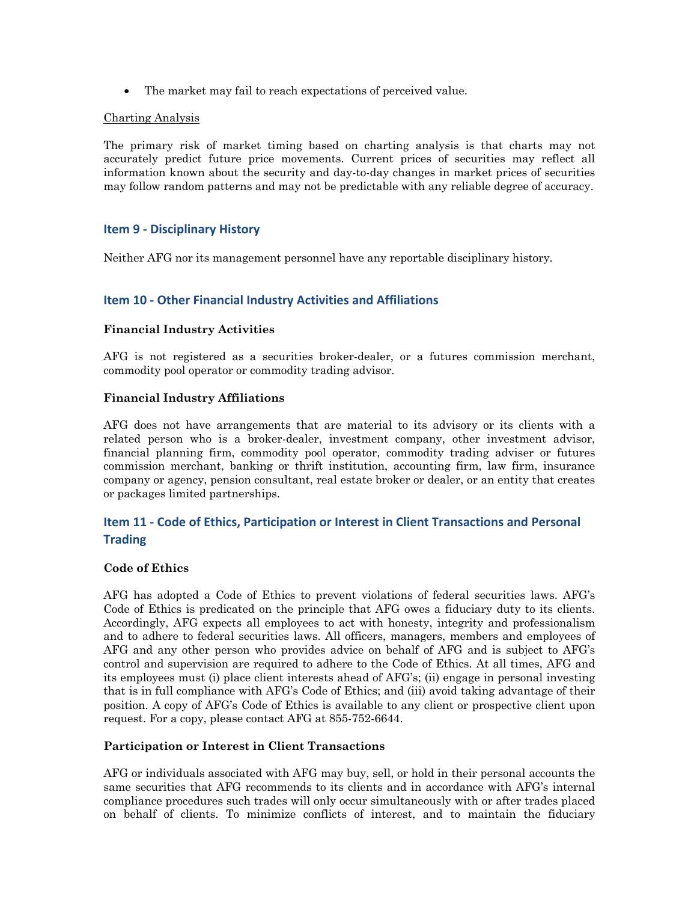• The market may fail to reach expectations of perceived value.

#### Charting Analysis

The primary risk of market timing based on charting analysis is that charts may not accurately predict future price movements. Current prices of securities may reflect all information known about the security and day-to-day changes in market prices of securities may follow random patterns and may not be predictable with any reliable degree of accuracy.

## **Item 9 - Disciplinary History**

Neither AFG nor its management personnel have any reportable disciplinary history.

## **Item 10 - Other Financial Industry Activities and Affiliations**

#### **Financial Industry Activities**

AFG is not registered as a securities broker-dealer, or a futures commission merchant, commodity pool operator or commodity trading advisor.

#### **Financial Industry Affiliations**

AFG does not have arrangements that are material to its advisory or its clients with a related person who is a broker-dealer, investment company, other investment advisor, financial planning firm, commodity pool operator, commodity trading adviser or futures commission merchant, banking or thrift institution, accounting firm, law firm, insurance company or agency, pension consultant, real estate broker or dealer, or an entity that creates or packages limited partnerships.

# **Item 11 - Code of Ethics, Participation or Interest in Client Transactions and Personal Trading**

#### **Code of Ethics**

AFG has adopted a Code of Ethics to prevent violations of federal securities laws. AFG's Code of Ethics is predicated on the principle that AFG owes a fiduciary duty to its clients. Accordingly, AFG expects all employees to act with honesty, integrity and professionalism and to adhere to federal securities laws. All officers, managers, members and employees of AFG and any other person who provides advice on behalf of AFG and is subject to AFG's control and supervision are required to adhere to the Code of Ethics. At all times, AFG and its employees must (i) place client interests ahead of AFG's; (ii) engage in personal investing that is in full compliance with AFG's Code of Ethics; and (iii) avoid taking advantage of their position. A copy of AFG's Code of Ethics is available to any client or prospective client upon request. For a copy, please contact AFG at 855-752-6644.

#### **Participation or Interest in Client Transactions**

AFG or individuals associated with AFG may buy, sell, or hold in their personal accounts the same securities that AFG recommends to its clients and in accordance with AFG's internal compliance procedures such trades will only occur simultaneously with or after trades placed on behalf of clients. To minimize conflicts of interest, and to maintain the fiduciary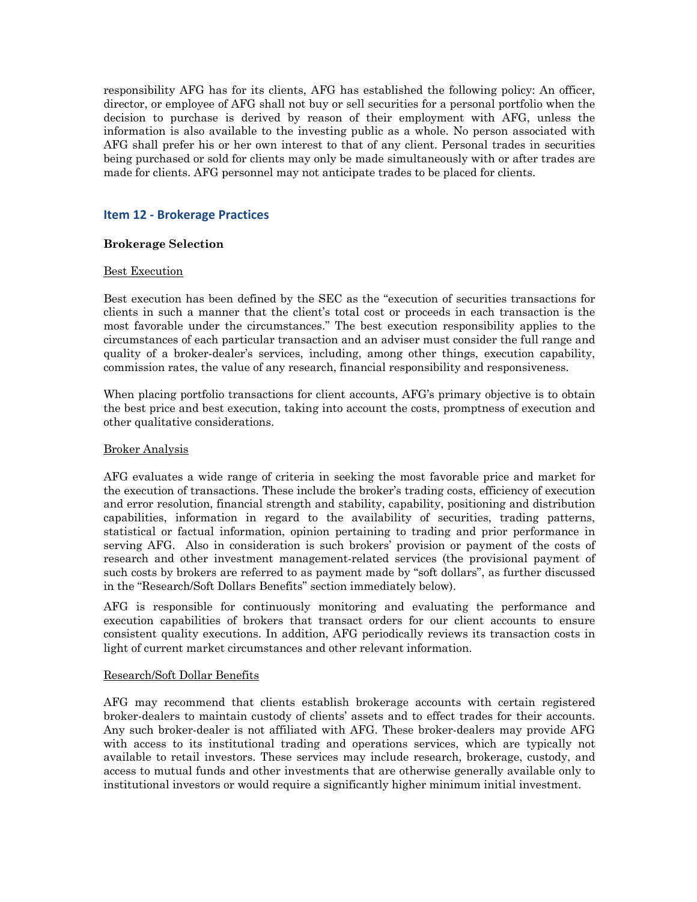responsibility AFG has for its clients, AFG has established the following policy: An officer, director, or employee of AFG shall not buy or sell securities for a personal portfolio when the decision to purchase is derived by reason of their employment with AFG, unless the information is also available to the investing public as a whole. No person associated with AFG shall prefer his or her own interest to that of any client. Personal trades in securities being purchased or sold for clients may only be made simultaneously with or after trades are made for clients. AFG personnel may not anticipate trades to be placed for clients.

# **Item 12 - Brokerage Practices**

#### **Brokerage Selection**

#### Best Execution

Best execution has been defined by the SEC as the "execution of securities transactions for clients in such a manner that the client's total cost or proceeds in each transaction is the most favorable under the circumstances." The best execution responsibility applies to the circumstances of each particular transaction and an adviser must consider the full range and quality of a broker-dealer's services, including, among other things, execution capability, commission rates, the value of any research, financial responsibility and responsiveness.

When placing portfolio transactions for client accounts, AFG's primary objective is to obtain the best price and best execution, taking into account the costs, promptness of execution and other qualitative considerations.

#### Broker Analysis

AFG evaluates a wide range of criteria in seeking the most favorable price and market for the execution of transactions. These include the broker's trading costs, efficiency of execution and error resolution, financial strength and stability, capability, positioning and distribution capabilities, information in regard to the availability of securities, trading patterns, statistical or factual information, opinion pertaining to trading and prior performance in serving AFG. Also in consideration is such brokers' provision or payment of the costs of research and other investment management-related services (the provisional payment of such costs by brokers are referred to as payment made by "soft dollars", as further discussed in the "Research/Soft Dollars Benefits" section immediately below).

AFG is responsible for continuously monitoring and evaluating the performance and execution capabilities of brokers that transact orders for our client accounts to ensure consistent quality executions. In addition, AFG periodically reviews its transaction costs in light of current market circumstances and other relevant information.

#### Research/Soft Dollar Benefits

AFG may recommend that clients establish brokerage accounts with certain registered broker-dealers to maintain custody of clients' assets and to effect trades for their accounts. Any such broker-dealer is not affiliated with AFG. These broker-dealers may provide AFG with access to its institutional trading and operations services, which are typically not available to retail investors. These services may include research, brokerage, custody, and access to mutual funds and other investments that are otherwise generally available only to institutional investors or would require a significantly higher minimum initial investment.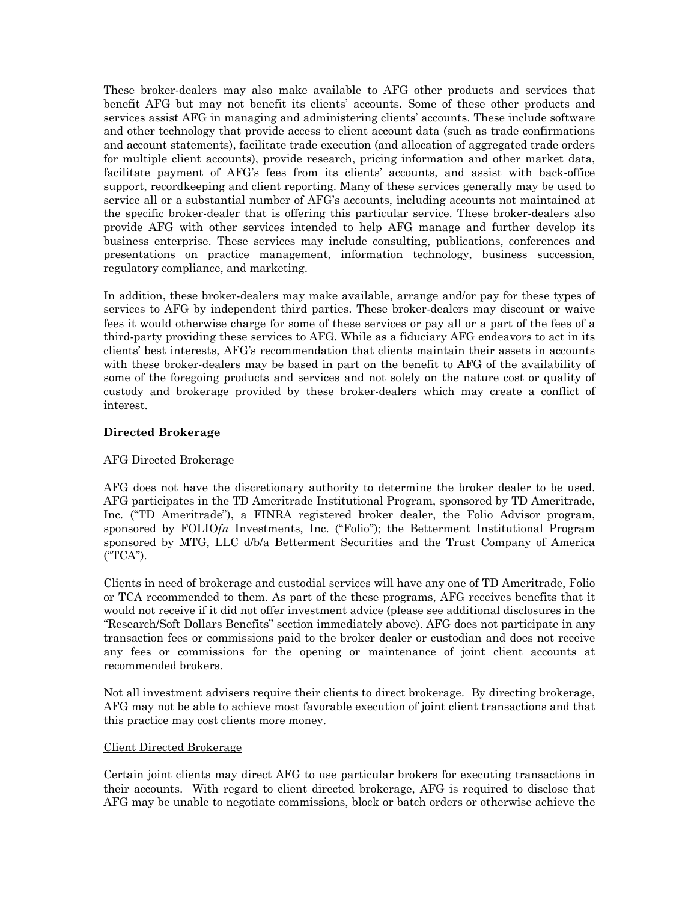These broker-dealers may also make available to AFG other products and services that benefit AFG but may not benefit its clients' accounts. Some of these other products and services assist AFG in managing and administering clients' accounts. These include software and other technology that provide access to client account data (such as trade confirmations and account statements), facilitate trade execution (and allocation of aggregated trade orders for multiple client accounts), provide research, pricing information and other market data, facilitate payment of AFG's fees from its clients' accounts, and assist with back-office support, recordkeeping and client reporting. Many of these services generally may be used to service all or a substantial number of AFG's accounts, including accounts not maintained at the specific broker-dealer that is offering this particular service. These broker-dealers also provide AFG with other services intended to help AFG manage and further develop its business enterprise. These services may include consulting, publications, conferences and presentations on practice management, information technology, business succession, regulatory compliance, and marketing.

In addition, these broker-dealers may make available, arrange and/or pay for these types of services to AFG by independent third parties. These broker-dealers may discount or waive fees it would otherwise charge for some of these services or pay all or a part of the fees of a third-party providing these services to AFG. While as a fiduciary AFG endeavors to act in its clients' best interests, AFG's recommendation that clients maintain their assets in accounts with these broker-dealers may be based in part on the benefit to AFG of the availability of some of the foregoing products and services and not solely on the nature cost or quality of custody and brokerage provided by these broker-dealers which may create a conflict of interest.

#### **Directed Brokerage**

#### AFG Directed Brokerage

AFG does not have the discretionary authority to determine the broker dealer to be used. AFG participates in the TD Ameritrade Institutional Program, sponsored by TD Ameritrade, Inc. ("TD Ameritrade"), a FINRA registered broker dealer, the Folio Advisor program, sponsored by FOLIO*fn* Investments, Inc. ("Folio"); the Betterment Institutional Program sponsored by MTG, LLC d/b/a Betterment Securities and the Trust Company of America ("TCA").

Clients in need of brokerage and custodial services will have any one of TD Ameritrade, Folio or TCA recommended to them. As part of the these programs, AFG receives benefits that it would not receive if it did not offer investment advice (please see additional disclosures in the "Research/Soft Dollars Benefits" section immediately above). AFG does not participate in any transaction fees or commissions paid to the broker dealer or custodian and does not receive any fees or commissions for the opening or maintenance of joint client accounts at recommended brokers.

Not all investment advisers require their clients to direct brokerage. By directing brokerage, AFG may not be able to achieve most favorable execution of joint client transactions and that this practice may cost clients more money.

#### Client Directed Brokerage

Certain joint clients may direct AFG to use particular brokers for executing transactions in their accounts. With regard to client directed brokerage, AFG is required to disclose that AFG may be unable to negotiate commissions, block or batch orders or otherwise achieve the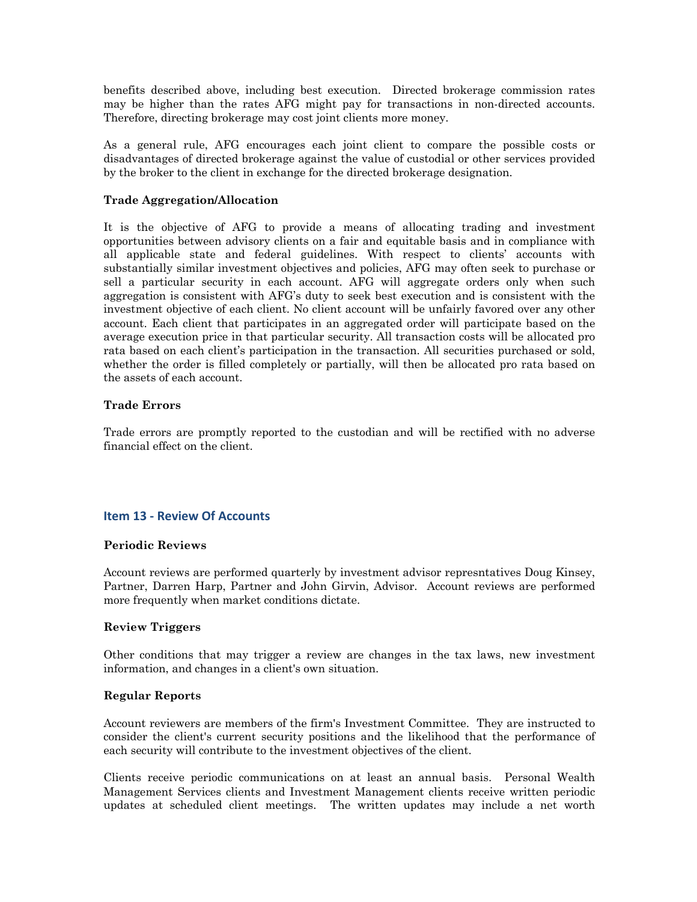benefits described above, including best execution. Directed brokerage commission rates may be higher than the rates AFG might pay for transactions in non-directed accounts. Therefore, directing brokerage may cost joint clients more money.

As a general rule, AFG encourages each joint client to compare the possible costs or disadvantages of directed brokerage against the value of custodial or other services provided by the broker to the client in exchange for the directed brokerage designation.

#### **Trade Aggregation/Allocation**

It is the objective of AFG to provide a means of allocating trading and investment opportunities between advisory clients on a fair and equitable basis and in compliance with all applicable state and federal guidelines. With respect to clients' accounts with substantially similar investment objectives and policies, AFG may often seek to purchase or sell a particular security in each account. AFG will aggregate orders only when such aggregation is consistent with AFG's duty to seek best execution and is consistent with the investment objective of each client. No client account will be unfairly favored over any other account. Each client that participates in an aggregated order will participate based on the average execution price in that particular security. All transaction costs will be allocated pro rata based on each client's participation in the transaction. All securities purchased or sold, whether the order is filled completely or partially, will then be allocated pro rata based on the assets of each account.

#### **Trade Errors**

Trade errors are promptly reported to the custodian and will be rectified with no adverse financial effect on the client.

# **Item 13 - Review Of Accounts**

#### **Periodic Reviews**

Account reviews are performed quarterly by investment advisor represntatives Doug Kinsey, Partner, Darren Harp, Partner and John Girvin, Advisor. Account reviews are performed more frequently when market conditions dictate.

#### **Review Triggers**

Other conditions that may trigger a review are changes in the tax laws, new investment information, and changes in a client's own situation.

#### **Regular Reports**

Account reviewers are members of the firm's Investment Committee. They are instructed to consider the client's current security positions and the likelihood that the performance of each security will contribute to the investment objectives of the client.

Clients receive periodic communications on at least an annual basis. Personal Wealth Management Services clients and Investment Management clients receive written periodic updates at scheduled client meetings. The written updates may include a net worth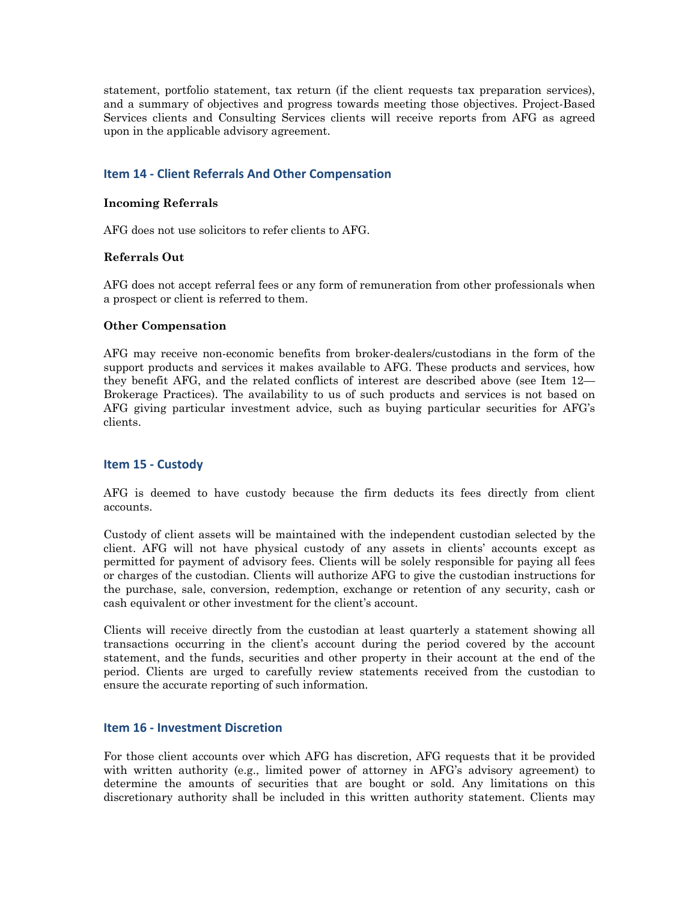statement, portfolio statement, tax return (if the client requests tax preparation services), and a summary of objectives and progress towards meeting those objectives. Project-Based Services clients and Consulting Services clients will receive reports from AFG as agreed upon in the applicable advisory agreement.

#### **Item 14 - Client Referrals And Other Compensation**

#### **Incoming Referrals**

AFG does not use solicitors to refer clients to AFG.

#### **Referrals Out**

AFG does not accept referral fees or any form of remuneration from other professionals when a prospect or client is referred to them.

#### **Other Compensation**

AFG may receive non-economic benefits from broker-dealers/custodians in the form of the support products and services it makes available to AFG. These products and services, how they benefit AFG, and the related conflicts of interest are described above (see Item 12— Brokerage Practices). The availability to us of such products and services is not based on AFG giving particular investment advice, such as buying particular securities for AFG's clients.

#### **Item 15 - Custody**

AFG is deemed to have custody because the firm deducts its fees directly from client accounts.

Custody of client assets will be maintained with the independent custodian selected by the client. AFG will not have physical custody of any assets in clients' accounts except as permitted for payment of advisory fees. Clients will be solely responsible for paying all fees or charges of the custodian. Clients will authorize AFG to give the custodian instructions for the purchase, sale, conversion, redemption, exchange or retention of any security, cash or cash equivalent or other investment for the client's account.

Clients will receive directly from the custodian at least quarterly a statement showing all transactions occurring in the client's account during the period covered by the account statement, and the funds, securities and other property in their account at the end of the period. Clients are urged to carefully review statements received from the custodian to ensure the accurate reporting of such information.

#### **Item 16 - Investment Discretion**

For those client accounts over which AFG has discretion, AFG requests that it be provided with written authority (e.g., limited power of attorney in AFG's advisory agreement) to determine the amounts of securities that are bought or sold. Any limitations on this discretionary authority shall be included in this written authority statement. Clients may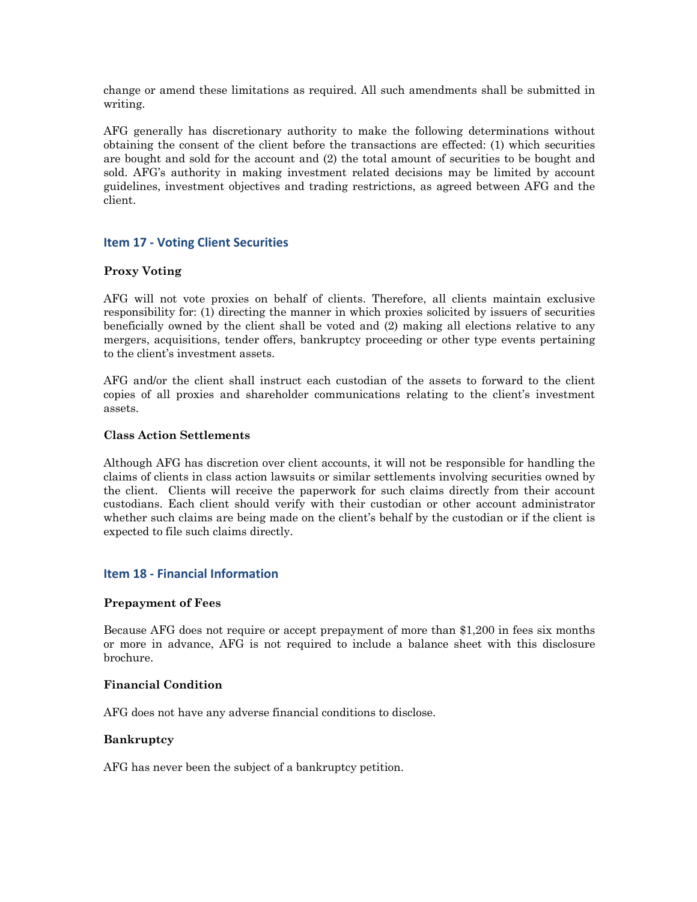change or amend these limitations as required. All such amendments shall be submitted in writing.

AFG generally has discretionary authority to make the following determinations without obtaining the consent of the client before the transactions are effected: (1) which securities are bought and sold for the account and (2) the total amount of securities to be bought and sold. AFG's authority in making investment related decisions may be limited by account guidelines, investment objectives and trading restrictions, as agreed between AFG and the client.

## **Item 17 - Voting Client Securities**

#### **Proxy Voting**

AFG will not vote proxies on behalf of clients. Therefore, all clients maintain exclusive responsibility for: (1) directing the manner in which proxies solicited by issuers of securities beneficially owned by the client shall be voted and (2) making all elections relative to any mergers, acquisitions, tender offers, bankruptcy proceeding or other type events pertaining to the client's investment assets.

AFG and/or the client shall instruct each custodian of the assets to forward to the client copies of all proxies and shareholder communications relating to the client's investment assets.

#### **Class Action Settlements**

Although AFG has discretion over client accounts, it will not be responsible for handling the claims of clients in class action lawsuits or similar settlements involving securities owned by the client. Clients will receive the paperwork for such claims directly from their account custodians. Each client should verify with their custodian or other account administrator whether such claims are being made on the client's behalf by the custodian or if the client is expected to file such claims directly.

#### **Item 18 - Financial Information**

#### **Prepayment of Fees**

Because AFG does not require or accept prepayment of more than \$1,200 in fees six months or more in advance, AFG is not required to include a balance sheet with this disclosure brochure.

#### **Financial Condition**

AFG does not have any adverse financial conditions to disclose.

#### **Bankruptcy**

AFG has never been the subject of a bankruptcy petition.